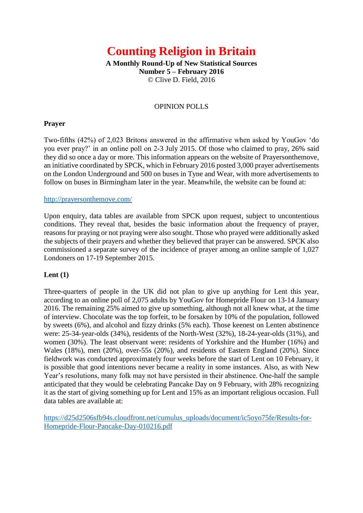# **Counting Religion in Britain**

**A Monthly Round-Up of New Statistical Sources Number 5 – February 2016** © Clive D. Field, 2016

## OPINION POLLS

## **Prayer**

Two-fifths (42%) of 2,023 Britons answered in the affirmative when asked by YouGov 'do you ever pray?' in an online poll on 2-3 July 2015. Of those who claimed to pray, 26% said they did so once a day or more. This information appears on the website of Prayersonthemove, an initiative coordinated by SPCK, which in February 2016 posted 3,000 prayer advertisements on the London Underground and 500 on buses in Tyne and Wear, with more advertisements to follow on buses in Birmingham later in the year. Meanwhile, the website can be found at:

### <http://prayersonthemove.com/>

Upon enquiry, data tables are available from SPCK upon request, subject to uncontentious conditions. They reveal that, besides the basic information about the frequency of prayer, reasons for praying or not praying were also sought. Those who prayed were additionally asked the subjects of their prayers and whether they believed that prayer can be answered. SPCK also commissioned a separate survey of the incidence of prayer among an online sample of 1,027 Londoners on 17-19 September 2015.

### **Lent (1)**

Three-quarters of people in the UK did not plan to give up anything for Lent this year, according to an online poll of 2,075 adults by YouGov for Homepride Flour on 13-14 January 2016. The remaining 25% aimed to give up something, although not all knew what, at the time of interview. Chocolate was the top forfeit, to be forsaken by 10% of the population, followed by sweets (6%), and alcohol and fizzy drinks (5% each). Those keenest on Lenten abstinence were: 25-34-year-olds (34%), residents of the North-West (32%), 18-24-year-olds (31%), and women (30%). The least observant were: residents of Yorkshire and the Humber (16%) and Wales (18%), men (20%), over-55s (20%), and residents of Eastern England (20%). Since fieldwork was conducted approximately four weeks before the start of Lent on 10 February, it is possible that good intentions never became a reality in some instances. Also, as with New Year's resolutions, many folk may not have persisted in their abstinence. One-half the sample anticipated that they would be celebrating Pancake Day on 9 February, with 28% recognizing it as the start of giving something up for Lent and 15% as an important religious occasion. Full data tables are available at:

[https://d25d2506sfb94s.cloudfront.net/cumulus\\_uploads/document/ic5oyo75fe/Results-for-](https://d25d2506sfb94s.cloudfront.net/cumulus_uploads/document/ic5oyo75fe/Results-for-Homepride-Flour-Pancake-Day-010216.pdf)[Homepride-Flour-Pancake-Day-010216.pdf](https://d25d2506sfb94s.cloudfront.net/cumulus_uploads/document/ic5oyo75fe/Results-for-Homepride-Flour-Pancake-Day-010216.pdf)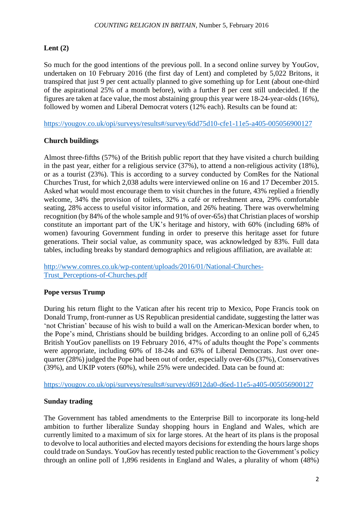# **Lent (2)**

So much for the good intentions of the previous poll. In a second online survey by YouGov, undertaken on 10 February 2016 (the first day of Lent) and completed by 5,022 Britons, it transpired that just 9 per cent actually planned to give something up for Lent (about one-third of the aspirational 25% of a month before), with a further 8 per cent still undecided. If the figures are taken at face value, the most abstaining group this year were 18-24-year-olds (16%), followed by women and Liberal Democrat voters (12% each). Results can be found at:

<https://yougov.co.uk/opi/surveys/results#/survey/6dd75d10-cfe1-11e5-a405-005056900127>

# **Church buildings**

Almost three-fifths (57%) of the British public report that they have visited a church building in the past year, either for a religious service (37%), to attend a non-religious activity (18%), or as a tourist (23%). This is according to a survey conducted by ComRes for the National Churches Trust, for which 2,038 adults were interviewed online on 16 and 17 December 2015. Asked what would most encourage them to visit churches in the future, 43% replied a friendly welcome, 34% the provision of toilets, 32% a café or refreshment area, 29% comfortable seating, 28% access to useful visitor information, and 26% heating. There was overwhelming recognition (by 84% of the whole sample and 91% of over-65s) that Christian places of worship constitute an important part of the UK's heritage and history, with 60% (including 68% of women) favouring Government funding in order to preserve this heritage asset for future generations. Their social value, as community space, was acknowledged by 83%. Full data tables, including breaks by standard demographics and religious affiliation, are available at:

[http://www.comres.co.uk/wp-content/uploads/2016/01/National-Churches-](http://www.comres.co.uk/wp-content/uploads/2016/01/National-Churches-Trust_Perceptions-of-Churches.pdf)[Trust\\_Perceptions-of-Churches.pdf](http://www.comres.co.uk/wp-content/uploads/2016/01/National-Churches-Trust_Perceptions-of-Churches.pdf)

# **Pope versus Trump**

During his return flight to the Vatican after his recent trip to Mexico, Pope Francis took on Donald Trump, front-runner as US Republican presidential candidate, suggesting the latter was 'not Christian' because of his wish to build a wall on the American-Mexican border when, to the Pope's mind, Christians should be building bridges. According to an online poll of 6,245 British YouGov panellists on 19 February 2016, 47% of adults thought the Pope's comments were appropriate, including 60% of 18-24s and 63% of Liberal Democrats. Just over onequarter (28%) judged the Pope had been out of order, especially over-60s (37%), Conservatives (39%), and UKIP voters (60%), while 25% were undecided. Data can be found at:

<https://yougov.co.uk/opi/surveys/results#/survey/d6912da0-d6ed-11e5-a405-005056900127>

# **Sunday trading**

The Government has tabled amendments to the Enterprise Bill to incorporate its long-held ambition to further liberalize Sunday shopping hours in England and Wales, which are currently limited to a maximum of six for large stores. At the heart of its plans is the proposal to devolve to local authorities and elected mayors decisions for extending the hours large shops could trade on Sundays. YouGov has recently tested public reaction to the Government's policy through an online poll of 1,896 residents in England and Wales, a plurality of whom (48%)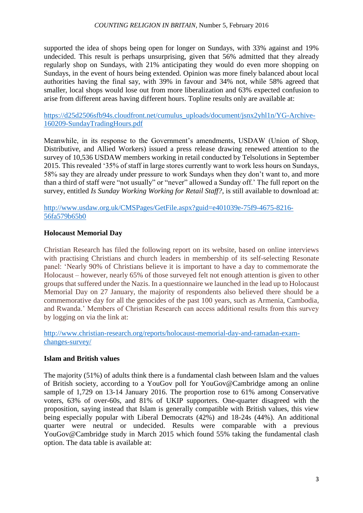supported the idea of shops being open for longer on Sundays, with 33% against and 19% undecided. This result is perhaps unsurprising, given that 56% admitted that they already regularly shop on Sundays, with 21% anticipating they would do even more shopping on Sundays, in the event of hours being extended. Opinion was more finely balanced about local authorities having the final say, with 39% in favour and 34% not, while 58% agreed that smaller, local shops would lose out from more liberalization and 63% expected confusion to arise from different areas having different hours. Topline results only are available at:

[https://d25d2506sfb94s.cloudfront.net/cumulus\\_uploads/document/jsnx2yhl1n/YG-Archive-](https://d25d2506sfb94s.cloudfront.net/cumulus_uploads/document/jsnx2yhl1n/YG-Archive-160209-SundayTradingHours.pdf)[160209-SundayTradingHours.pdf](https://d25d2506sfb94s.cloudfront.net/cumulus_uploads/document/jsnx2yhl1n/YG-Archive-160209-SundayTradingHours.pdf)

Meanwhile, in its response to the Government's amendments, USDAW (Union of Shop, Distributive, and Allied Workers) issued a press release drawing renewed attention to the survey of 10,536 USDAW members working in retail conducted by Telsolutions in September 2015. This revealed '35% of staff in large stores currently want to work less hours on Sundays, 58% say they are already under pressure to work Sundays when they don't want to, and more than a third of staff were "not usually" or "never" allowed a Sunday off.' The full report on the survey, entitled *Is Sunday Working Working for Retail Staff?*, is still available to download at:

[http://www.usdaw.org.uk/CMSPages/GetFile.aspx?guid=e401039e-75f9-4675-8216-](http://www.usdaw.org.uk/CMSPages/GetFile.aspx?guid=e401039e-75f9-4675-8216-56fa579b65b0) [56fa579b65b0](http://www.usdaw.org.uk/CMSPages/GetFile.aspx?guid=e401039e-75f9-4675-8216-56fa579b65b0)

# **Holocaust Memorial Day**

Christian Research has filed the following report on its website, based on online interviews with practising Christians and church leaders in membership of its self-selecting Resonate panel: 'Nearly 90% of Christians believe it is important to have a day to commemorate the Holocaust – however, nearly 65% of those surveyed felt not enough attention is given to other groups that suffered under the Nazis. In a questionnaire we launched in the lead up to Holocaust Memorial Day on 27 January, the majority of respondents also believed there should be a commemorative day for all the genocides of the past 100 years, such as Armenia, Cambodia, and Rwanda.' Members of Christian Research can access additional results from this survey by logging on via the link at:

[http://www.christian-research.org/reports/holocaust-memorial-day-and-ramadan-exam](http://www.christian-research.org/reports/holocaust-memorial-day-and-ramadan-exam-changes-survey/)[changes-survey/](http://www.christian-research.org/reports/holocaust-memorial-day-and-ramadan-exam-changes-survey/)

### **Islam and British values**

The majority (51%) of adults think there is a fundamental clash between Islam and the values of British society, according to a YouGov poll for YouGov@Cambridge among an online sample of 1,729 on 13-14 January 2016. The proportion rose to 61% among Conservative voters, 63% of over-60s, and 81% of UKIP supporters. One-quarter disagreed with the proposition, saying instead that Islam is generally compatible with British values, this view being especially popular with Liberal Democrats (42%) and 18-24s (44%). An additional quarter were neutral or undecided. Results were comparable with a previous YouGov@Cambridge study in March 2015 which found 55% taking the fundamental clash option. The data table is available at: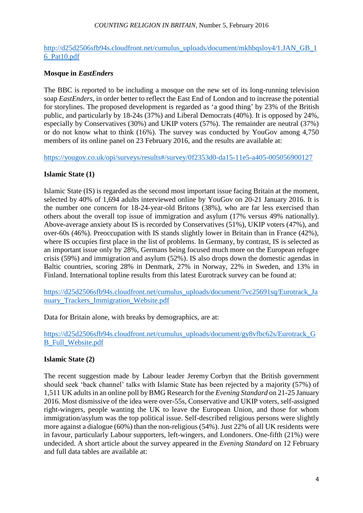#### *COUNTING RELIGION IN BRITAIN*, Number 5, February 2016

### [http://d25d2506sfb94s.cloudfront.net/cumulus\\_uploads/document/mkhbqsloy4/1.JAN\\_GB\\_1](http://d25d2506sfb94s.cloudfront.net/cumulus_uploads/document/mkhbqsloy4/1.JAN_GB_16_Pat10.pdf) [6\\_Pat10.pdf](http://d25d2506sfb94s.cloudfront.net/cumulus_uploads/document/mkhbqsloy4/1.JAN_GB_16_Pat10.pdf)

## **Mosque in** *EastEnders*

The BBC is reported to be including a mosque on the new set of its long-running television soap *EastEnders*, in order better to reflect the East End of London and to increase the potential for storylines. The proposed development is regarded as 'a good thing' by 23% of the British public, and particularly by 18-24s (37%) and Liberal Democrats (40%). It is opposed by 24%, especially by Conservatives (30%) and UKIP voters (57%). The remainder are neutral (37%) or do not know what to think (16%). The survey was conducted by YouGov among 4,750 members of its online panel on 23 February 2016, and the results are available at:

<https://yougov.co.uk/opi/surveys/results#/survey/0f2353d0-da15-11e5-a405-005056900127>

## **Islamic State (1)**

Islamic State (IS) is regarded as the second most important issue facing Britain at the moment, selected by 40% of 1,694 adults interviewed online by YouGov on 20-21 January 2016. It is the number one concern for 18-24-year-old Britons (38%), who are far less exercised than others about the overall top issue of immigration and asylum (17% versus 49% nationally). Above-average anxiety about IS is recorded by Conservatives (51%), UKIP voters (47%), and over-60s (46%). Preoccupation with IS stands slightly lower in Britain than in France (42%), where IS occupies first place in the list of problems. In Germany, by contrast, IS is selected as an important issue only by 28%, Germans being focused much more on the European refugee crisis (59%) and immigration and asylum (52%). IS also drops down the domestic agendas in Baltic countries, scoring 28% in Denmark, 27% in Norway, 22% in Sweden, and 13% in Finland. International topline results from this latest Eurotrack survey can be found at:

[https://d25d2506sfb94s.cloudfront.net/cumulus\\_uploads/document/7vc25691sq/Eurotrack\\_Ja](https://d25d2506sfb94s.cloudfront.net/cumulus_uploads/document/7vc25691sq/Eurotrack_January_Trackers_Immigration_Website.pdf) nuary Trackers Immigration Website.pdf

Data for Britain alone, with breaks by demographics, are at:

[https://d25d2506sfb94s.cloudfront.net/cumulus\\_uploads/document/gy8vfbc62s/Eurotrack\\_G](https://d25d2506sfb94s.cloudfront.net/cumulus_uploads/document/gy8vfbc62s/Eurotrack_GB_Full_Website.pdf) [B\\_Full\\_Website.pdf](https://d25d2506sfb94s.cloudfront.net/cumulus_uploads/document/gy8vfbc62s/Eurotrack_GB_Full_Website.pdf)

# **Islamic State (2)**

The recent suggestion made by Labour leader Jeremy Corbyn that the British government should seek 'back channel' talks with Islamic State has been rejected by a majority (57%) of 1,511 UK adultsin an online poll by BMG Research for the *Evening Standard* on 21-25 January 2016. Most dismissive of the idea were over-55s, Conservative and UKIP voters, self-assigned right-wingers, people wanting the UK to leave the European Union, and those for whom immigration/asylum was the top political issue. Self-described religious persons were slightly more against a dialogue (60%) than the non-religious (54%). Just 22% of all UK residents were in favour, particularly Labour supporters, left-wingers, and Londoners. One-fifth (21%) were undecided. A short article about the survey appeared in the *Evening Standard* on 12 February and full data tables are available at: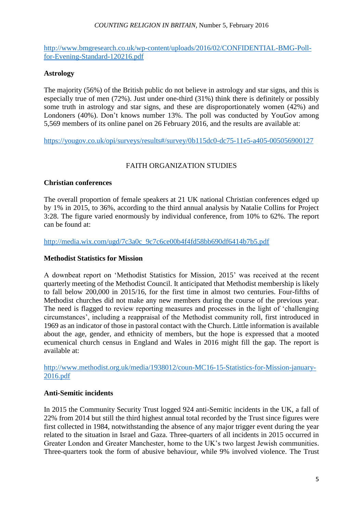### *COUNTING RELIGION IN BRITAIN*, Number 5, February 2016

[http://www.bmgresearch.co.uk/wp-content/uploads/2016/02/CONFIDENTIAL-BMG-Poll](http://www.bmgresearch.co.uk/wp-content/uploads/2016/02/CONFIDENTIAL-BMG-Poll-for-Evening-Standard-120216.pdf)[for-Evening-Standard-120216.pdf](http://www.bmgresearch.co.uk/wp-content/uploads/2016/02/CONFIDENTIAL-BMG-Poll-for-Evening-Standard-120216.pdf)

# **Astrology**

The majority (56%) of the British public do not believe in astrology and star signs, and this is especially true of men (72%). Just under one-third (31%) think there is definitely or possibly some truth in astrology and star signs, and these are disproportionately women (42%) and Londoners (40%). Don't knows number 13%. The poll was conducted by YouGov among 5,569 members of its online panel on 26 February 2016, and the results are available at:

<https://yougov.co.uk/opi/surveys/results#/survey/0b115dc0-dc75-11e5-a405-005056900127>

# FAITH ORGANIZATION STUDIES

## **Christian conferences**

The overall proportion of female speakers at 21 UK national Christian conferences edged up by 1% in 2015, to 36%, according to the third annual analysis by Natalie Collins for Project 3:28. The figure varied enormously by individual conference, from 10% to 62%. The report can be found at:

[http://media.wix.com/ugd/7c3a0c\\_9c7c6ce00b4f4fd58bb690df6414b7b5.pdf](http://media.wix.com/ugd/7c3a0c_9c7c6ce00b4f4fd58bb690df6414b7b5.pdf)

## **Methodist Statistics for Mission**

A downbeat report on 'Methodist Statistics for Mission, 2015' was received at the recent quarterly meeting of the Methodist Council. It anticipated that Methodist membership is likely to fall below 200,000 in 2015/16, for the first time in almost two centuries. Four-fifths of Methodist churches did not make any new members during the course of the previous year. The need is flagged to review reporting measures and processes in the light of 'challenging circumstances', including a reappraisal of the Methodist community roll, first introduced in 1969 as an indicator of those in pastoral contact with the Church. Little information is available about the age, gender, and ethnicity of members, but the hope is expressed that a mooted ecumenical church census in England and Wales in 2016 might fill the gap. The report is available at:

[http://www.methodist.org.uk/media/1938012/coun-MC16-15-Statistics-for-Mission-january-](http://www.methodist.org.uk/media/1938012/coun-MC16-15-Statistics-for-Mission-january-2016.pdf)[2016.pdf](http://www.methodist.org.uk/media/1938012/coun-MC16-15-Statistics-for-Mission-january-2016.pdf)

# **Anti-Semitic incidents**

In 2015 the Community Security Trust logged 924 anti-Semitic incidents in the UK, a fall of 22% from 2014 but still the third highest annual total recorded by the Trust since figures were first collected in 1984, notwithstanding the absence of any major trigger event during the year related to the situation in Israel and Gaza. Three-quarters of all incidents in 2015 occurred in Greater London and Greater Manchester, home to the UK's two largest Jewish communities. Three-quarters took the form of abusive behaviour, while 9% involved violence. The Trust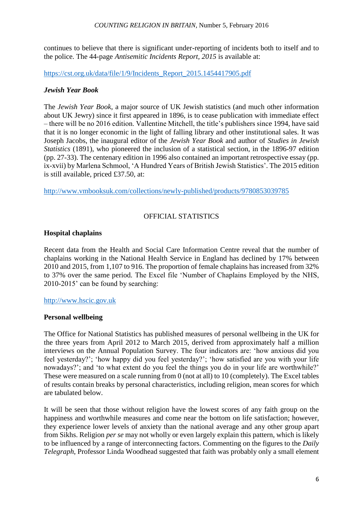continues to believe that there is significant under-reporting of incidents both to itself and to the police. The 44-page *Antisemitic Incidents Report, 2015* is available at:

[https://cst.org.uk/data/file/1/9/Incidents\\_Report\\_2015.1454417905.pdf](https://cst.org.uk/data/file/1/9/Incidents_Report_2015.1454417905.pdf)

# *Jewish Year Book*

The *Jewish Year Book*, a major source of UK Jewish statistics (and much other information about UK Jewry) since it first appeared in 1896, is to cease publication with immediate effect – there will be no 2016 edition. Vallentine Mitchell, the title's publishers since 1994, have said that it is no longer economic in the light of falling library and other institutional sales. It was Joseph Jacobs, the inaugural editor of the *Jewish Year Book* and author of *Studies in Jewish Statistics* (1891), who pioneered the inclusion of a statistical section, in the 1896-97 edition (pp. 27-33). The centenary edition in 1996 also contained an important retrospective essay (pp. ix-xvii) by Marlena Schmool, 'A Hundred Years of British Jewish Statistics'. The 2015 edition is still available, priced £37.50, at:

<http://www.vmbooksuk.com/collections/newly-published/products/9780853039785>

# OFFICIAL STATISTICS

# **Hospital chaplains**

Recent data from the Health and Social Care Information Centre reveal that the number of chaplains working in the National Health Service in England has declined by 17% between 2010 and 2015, from 1,107 to 916. The proportion of female chaplains has increased from 32% to 37% over the same period. The Excel file 'Number of Chaplains Employed by the NHS, 2010-2015' can be found by searching:

# [http://www.hscic.gov.uk](http://www.hscic.gov.uk/)

# **Personal wellbeing**

The Office for National Statistics has published measures of personal wellbeing in the UK for the three years from April 2012 to March 2015, derived from approximately half a million interviews on the Annual Population Survey. The four indicators are: 'how anxious did you feel yesterday?'; 'how happy did you feel yesterday?'; 'how satisfied are you with your life nowadays?'; and 'to what extent do you feel the things you do in your life are worthwhile?' These were measured on a scale running from 0 (not at all) to 10 (completely). The Excel tables of results contain breaks by personal characteristics, including religion, mean scores for which are tabulated below.

It will be seen that those without religion have the lowest scores of any faith group on the happiness and worthwhile measures and come near the bottom on life satisfaction; however, they experience lower levels of anxiety than the national average and any other group apart from Sikhs. Religion *per se* may not wholly or even largely explain this pattern, which is likely to be influenced by a range of interconnecting factors. Commenting on the figures to the *Daily Telegraph*, Professor Linda Woodhead suggested that faith was probably only a small element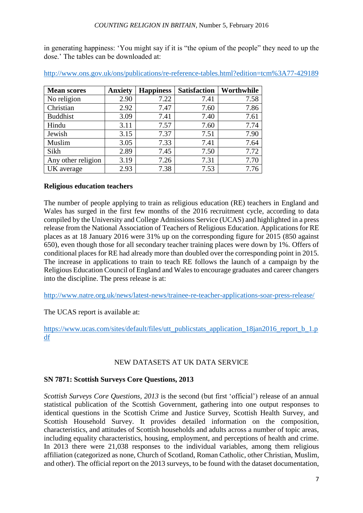in generating happiness: 'You might say if it is "the opium of the people" they need to up the dose.' The tables can be downloaded at:

| <b>Mean scores</b> | <b>Anxiety</b> | <b>Happiness</b> | <b>Satisfaction</b> | Worthwhile |
|--------------------|----------------|------------------|---------------------|------------|
| No religion        | 2.90           | 7.22             | 7.41                | 7.58       |
| Christian          | 2.92           | 7.47             | 7.60                | 7.86       |
| <b>Buddhist</b>    | 3.09           | 7.41             | 7.40                | 7.61       |
| Hindu              | 3.11           | 7.57             | 7.60                | 7.74       |
| Jewish             | 3.15           | 7.37             | 7.51                | 7.90       |
| Muslim             | 3.05           | 7.33             | 7.41                | 7.64       |
| Sikh               | 2.89           | 7.45             | 7.50                | 7.72       |
| Any other religion | 3.19           | 7.26             | 7.31                | 7.70       |
| UK average         | 2.93           | 7.38             | 7.53                | 7.76       |

<http://www.ons.gov.uk/ons/publications/re-reference-tables.html?edition=tcm%3A77-429189>

# **Religious education teachers**

The number of people applying to train as religious education (RE) teachers in England and Wales has surged in the first few months of the 2016 recruitment cycle, according to data compiled by the University and College Admissions Service (UCAS) and highlighted in a press release from the National Association of Teachers of Religious Education. Applications for RE places as at 18 January 2016 were 31% up on the corresponding figure for 2015 (850 against 650), even though those for all secondary teacher training places were down by 1%. Offers of conditional places for RE had already more than doubled over the corresponding point in 2015. The increase in applications to train to teach RE follows the launch of a campaign by the Religious Education Council of England and Wales to encourage graduates and career changers into the discipline. The press release is at:

<http://www.natre.org.uk/news/latest-news/trainee-re-teacher-applications-soar-press-release/>

The UCAS report is available at:

[https://www.ucas.com/sites/default/files/utt\\_publicstats\\_application\\_18jan2016\\_report\\_b\\_1.p](https://www.ucas.com/sites/default/files/utt_publicstats_application_18jan2016_report_b_1.pdf) [df](https://www.ucas.com/sites/default/files/utt_publicstats_application_18jan2016_report_b_1.pdf)

# NEW DATASETS AT UK DATA SERVICE

# **SN 7871: Scottish Surveys Core Questions, 2013**

*Scottish Surveys Core Questions, 2013* is the second (but first 'official') release of an annual statistical publication of the Scottish Government, gathering into one output responses to identical questions in the Scottish Crime and Justice Survey, Scottish Health Survey, and Scottish Household Survey. It provides detailed information on the composition, characteristics, and attitudes of Scottish households and adults across a number of topic areas, including equality characteristics, housing, employment, and perceptions of health and crime. In 2013 there were 21,038 responses to the individual variables, among them religious affiliation (categorized as none, Church of Scotland, Roman Catholic, other Christian, Muslim, and other). The official report on the 2013 surveys, to be found with the dataset documentation,